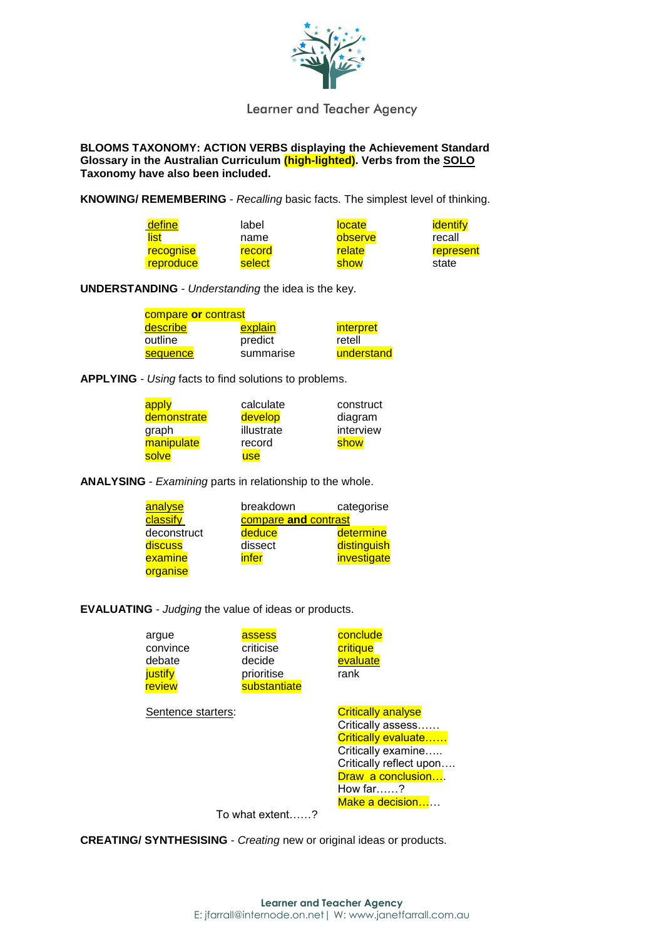

Learner and Teacher Agency

**BLOOMS TAXONOMY: ACTION VERBS displaying the Achievement Standard Glossary in the Australian Curriculum (high-lighted). Verbs from the SOLO Taxonomy have also been included.**

**KNOWING/ REMEMBERING** - *Recalling* basic facts. The simplest level of thinking.

| define    | label  | <b>locate</b> | <b>identify</b> |
|-----------|--------|---------------|-----------------|
| list      | name   | observe       | recall          |
| recognise | record | relate        | represent       |
| reproduce | select | show          | state           |

**UNDERSTANDING** - *Understanding* the idea is the key.

| compare or contrast |           |                  |
|---------------------|-----------|------------------|
| describe            | explain   | <i>interpret</i> |
| outline             | predict   | retell           |
| sequence            | summarise | understand       |

**APPLYING** *- Using* facts to find solutions to problems.

| apply       | calculate  | construct |
|-------------|------------|-----------|
| demonstrate | develop    | diagram   |
| graph       | illustrate | interview |
| manipulate  | record     | show      |
| solve       | use        |           |

**ANALYSING** - *Examining* parts in relationship to the whole.

| analyse     | breakdown    |                      | categorise  |
|-------------|--------------|----------------------|-------------|
| classify    |              | compare and contrast |             |
| deconstruct | deduce       |                      | determine   |
| discuss     | dissect      |                      | distinguish |
| examine     | <u>infer</u> |                      | investigate |
| organise    |              |                      |             |

**EVALUATING** *- Judging* the value of ideas or products.

| argue<br>convince<br>debate<br>justify<br>review | assess<br>criticise<br>decide<br>prioritise<br>substantiate | conclude<br>critique<br>evaluate<br>rank                                                                                                                                             |
|--------------------------------------------------|-------------------------------------------------------------|--------------------------------------------------------------------------------------------------------------------------------------------------------------------------------------|
| Sentence starters:                               |                                                             | <b>Critically analyse</b><br>Critically assess<br>Critically evaluate<br>Critically examine<br>Critically reflect upon<br>Draw a conclusion<br>How far $\ldots$ ?<br>Make a decision |

To what extent……?

**CREATING/ SYNTHESISING** - *Creating* new or original ideas or products.